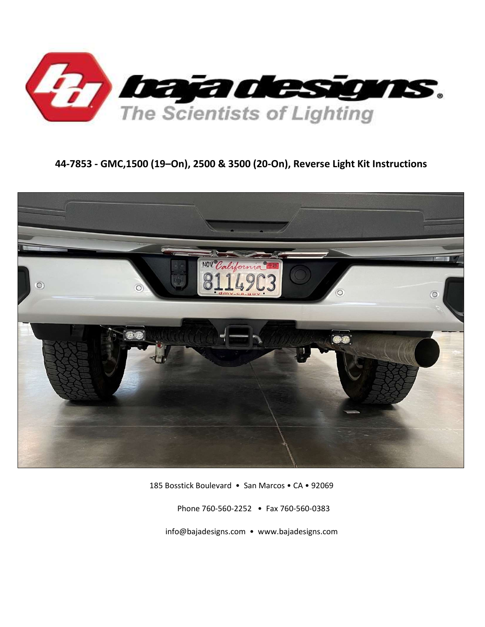

# 44-7853 - GMC,1500 (19–On), 2500 & 3500 (20-On), Reverse Light Kit Instructions



185 Bosstick Boulevard • San Marcos • CA • 92069

Phone 760-560-2252 • Fax 760-560-0383

info@bajadesigns.com • www.bajadesigns.com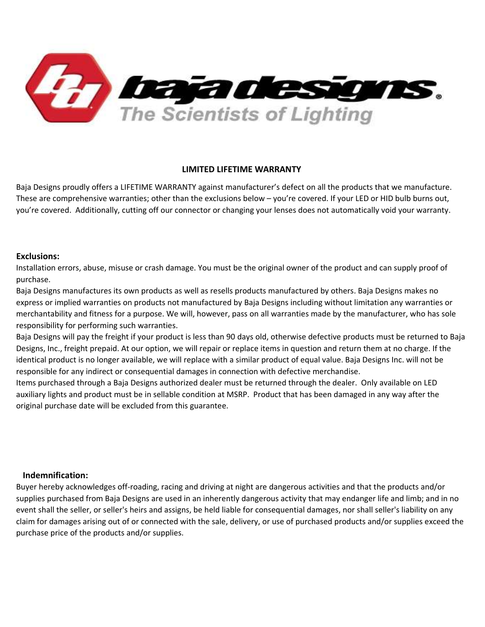

### LIMITED LIFETIME WARRANTY

Baja Designs proudly offers a LIFETIME WARRANTY against manufacturer's defect on all the products that we manufacture. These are comprehensive warranties; other than the exclusions below – you're covered. If your LED or HID bulb burns out, you're covered. Additionally, cutting off our connector or changing your lenses does not automatically void your warranty.

### Exclusions:

Installation errors, abuse, misuse or crash damage. You must be the original owner of the product and can supply proof of purchase.

Baja Designs manufactures its own products as well as resells products manufactured by others. Baja Designs makes no express or implied warranties on products not manufactured by Baja Designs including without limitation any warranties or merchantability and fitness for a purpose. We will, however, pass on all warranties made by the manufacturer, who has sole responsibility for performing such warranties.

Baja Designs will pay the freight if your product is less than 90 days old, otherwise defective products must be returned to Baja Designs, Inc., freight prepaid. At our option, we will repair or replace items in question and return them at no charge. If the identical product is no longer available, we will replace with a similar product of equal value. Baja Designs Inc. will not be responsible for any indirect or consequential damages in connection with defective merchandise.

Items purchased through a Baja Designs authorized dealer must be returned through the dealer. Only available on LED auxiliary lights and product must be in sellable condition at MSRP. Product that has been damaged in any way after the original purchase date will be excluded from this guarantee.

#### Indemnification:

Buyer hereby acknowledges off-roading, racing and driving at night are dangerous activities and that the products and/or supplies purchased from Baja Designs are used in an inherently dangerous activity that may endanger life and limb; and in no event shall the seller, or seller's heirs and assigns, be held liable for consequential damages, nor shall seller's liability on any claim for damages arising out of or connected with the sale, delivery, or use of purchased products and/or supplies exceed the purchase price of the products and/or supplies.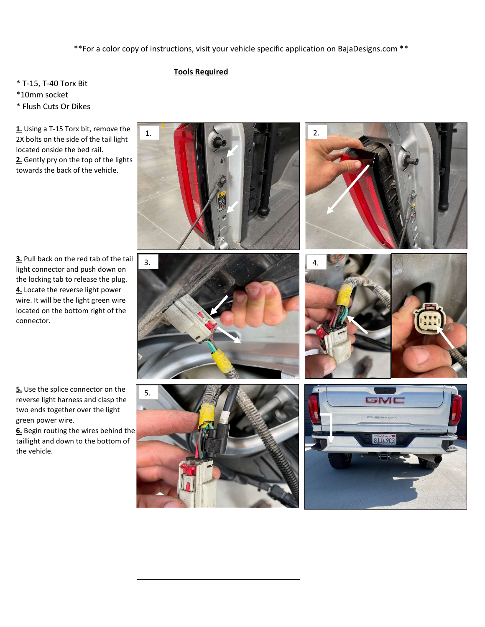\*\*For a color copy of instructions, visit your vehicle specific application on BajaDesigns.com \*\*

1. 2.

## Tools Required

- \* T-15, T-40 Torx Bit
- \*10mm socket
- \* Flush Cuts Or Dikes

1. Using a T-15 Torx bit, remove the 2X bolts on the side of the tail light located onside the bed rail.

2. Gently pry on the top of the lights towards the back of the vehicle.

3. Pull back on the red tab of the tail light connector and push down on the locking tab to release the plug. 4. Locate the reverse light power wire. It will be the light green wire located on the bottom right of the connector.







5. Use the splice connector on the reverse light harness and clasp the two ends together over the light green power wire.

6. Begin routing the wires behind the taillight and down to the bottom of the vehicle.